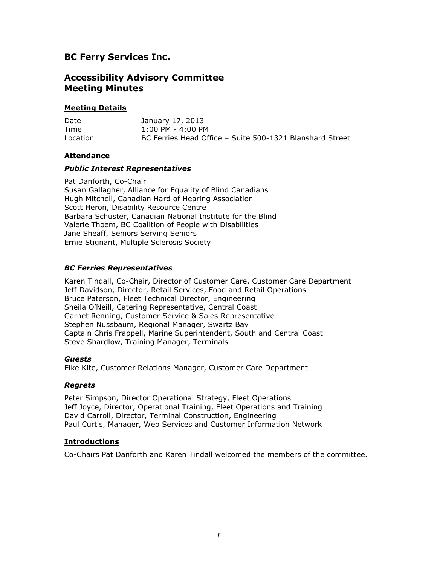# **BC Ferry Services Inc.**

# **Accessibility Advisory Committee Meeting Minutes**

## **Meeting Details**

| Date     | January 17, 2013                                         |
|----------|----------------------------------------------------------|
| Time     | $1:00$ PM - 4:00 PM                                      |
| Location | BC Ferries Head Office - Suite 500-1321 Blanshard Street |

## **Attendance**

### *Public Interest Representatives*

Pat Danforth, Co-Chair Susan Gallagher, Alliance for Equality of Blind Canadians Hugh Mitchell, Canadian Hard of Hearing Association Scott Heron, Disability Resource Centre Barbara Schuster, Canadian National Institute for the Blind Valerie Thoem, BC Coalition of People with Disabilities Jane Sheaff, Seniors Serving Seniors Ernie Stignant, Multiple Sclerosis Society

## *BC Ferries Representatives*

Karen Tindall, Co-Chair, Director of Customer Care, Customer Care Department Jeff Davidson, Director, Retail Services, Food and Retail Operations Bruce Paterson, Fleet Technical Director, Engineering Sheila O'Neill, Catering Representative, Central Coast Garnet Renning, Customer Service & Sales Representative Stephen Nussbaum, Regional Manager, Swartz Bay Captain Chris Frappell, Marine Superintendent, South and Central Coast Steve Shardlow, Training Manager, Terminals

### *Guests*

Elke Kite, Customer Relations Manager, Customer Care Department

### *Regrets*

Peter Simpson, Director Operational Strategy, Fleet Operations Jeff Joyce, Director, Operational Training, Fleet Operations and Training David Carroll, Director, Terminal Construction, Engineering Paul Curtis, Manager, Web Services and Customer Information Network

### **Introductions**

Co-Chairs Pat Danforth and Karen Tindall welcomed the members of the committee.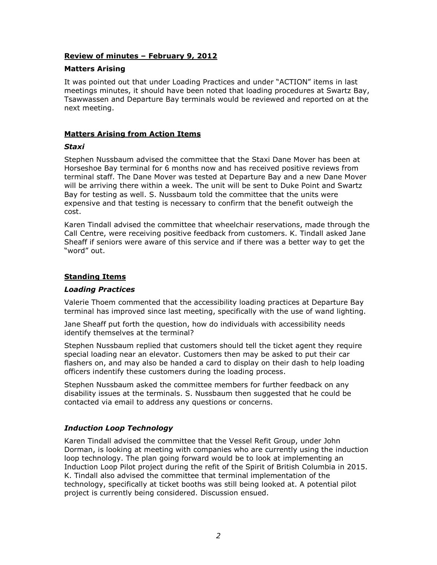## **Review of minutes – February 9, 2012**

### **Matters Arising**

It was pointed out that under Loading Practices and under "ACTION" items in last meetings minutes, it should have been noted that loading procedures at Swartz Bay, Tsawwassen and Departure Bay terminals would be reviewed and reported on at the next meeting.

## **Matters Arising from Action Items**

### *Staxi*

Stephen Nussbaum advised the committee that the Staxi Dane Mover has been at Horseshoe Bay terminal for 6 months now and has received positive reviews from terminal staff. The Dane Mover was tested at Departure Bay and a new Dane Mover will be arriving there within a week. The unit will be sent to Duke Point and Swartz Bay for testing as well. S. Nussbaum told the committee that the units were expensive and that testing is necessary to confirm that the benefit outweigh the cost.

Karen Tindall advised the committee that wheelchair reservations, made through the Call Centre, were receiving positive feedback from customers. K. Tindall asked Jane Sheaff if seniors were aware of this service and if there was a better way to get the "word" out.

### **Standing Items**

### *Loading Practices*

Valerie Thoem commented that the accessibility loading practices at Departure Bay terminal has improved since last meeting, specifically with the use of wand lighting.

Jane Sheaff put forth the question, how do individuals with accessibility needs identify themselves at the terminal?

Stephen Nussbaum replied that customers should tell the ticket agent they require special loading near an elevator. Customers then may be asked to put their car flashers on, and may also be handed a card to display on their dash to help loading officers indentify these customers during the loading process.

Stephen Nussbaum asked the committee members for further feedback on any disability issues at the terminals. S. Nussbaum then suggested that he could be contacted via email to address any questions or concerns.

# *Induction Loop Technology*

Karen Tindall advised the committee that the Vessel Refit Group, under John Dorman, is looking at meeting with companies who are currently using the induction loop technology. The plan going forward would be to look at implementing an Induction Loop Pilot project during the refit of the Spirit of British Columbia in 2015. K. Tindall also advised the committee that terminal implementation of the technology, specifically at ticket booths was still being looked at. A potential pilot project is currently being considered. Discussion ensued.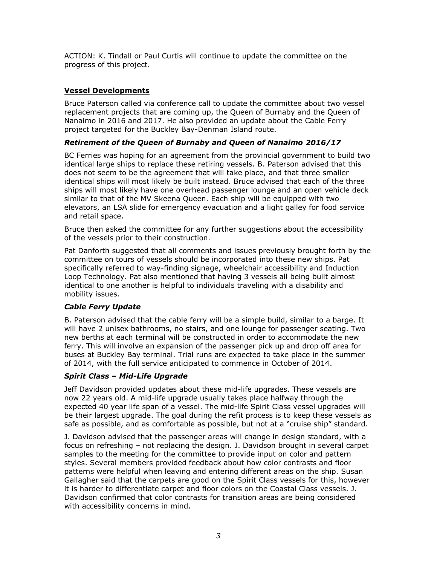ACTION: K. Tindall or Paul Curtis will continue to update the committee on the progress of this project.

# **Vessel Developments**

Bruce Paterson called via conference call to update the committee about two vessel replacement projects that are coming up, the Queen of Burnaby and the Queen of Nanaimo in 2016 and 2017. He also provided an update about the Cable Ferry project targeted for the Buckley Bay-Denman Island route.

# *Retirement of the Queen of Burnaby and Queen of Nanaimo 2016/17*

BC Ferries was hoping for an agreement from the provincial government to build two identical large ships to replace these retiring vessels. B. Paterson advised that this does not seem to be the agreement that will take place, and that three smaller identical ships will most likely be built instead. Bruce advised that each of the three ships will most likely have one overhead passenger lounge and an open vehicle deck similar to that of the MV Skeena Queen. Each ship will be equipped with two elevators, an LSA slide for emergency evacuation and a light galley for food service and retail space.

Bruce then asked the committee for any further suggestions about the accessibility of the vessels prior to their construction.

Pat Danforth suggested that all comments and issues previously brought forth by the committee on tours of vessels should be incorporated into these new ships. Pat specifically referred to way-finding signage, wheelchair accessibility and Induction Loop Technology. Pat also mentioned that having 3 vessels all being built almost identical to one another is helpful to individuals traveling with a disability and mobility issues.

# *Cable Ferry Update*

B. Paterson advised that the cable ferry will be a simple build, similar to a barge. It will have 2 unisex bathrooms, no stairs, and one lounge for passenger seating. Two new berths at each terminal will be constructed in order to accommodate the new ferry. This will involve an expansion of the passenger pick up and drop off area for buses at Buckley Bay terminal. Trial runs are expected to take place in the summer of 2014, with the full service anticipated to commence in October of 2014.

# *Spirit Class – Mid-Life Upgrade*

Jeff Davidson provided updates about these mid-life upgrades. These vessels are now 22 years old. A mid-life upgrade usually takes place halfway through the expected 40 year life span of a vessel. The mid-life Spirit Class vessel upgrades will be their largest upgrade. The goal during the refit process is to keep these vessels as safe as possible, and as comfortable as possible, but not at a "cruise ship" standard.

J. Davidson advised that the passenger areas will change in design standard, with a focus on refreshing – not replacing the design. J. Davidson brought in several carpet samples to the meeting for the committee to provide input on color and pattern styles. Several members provided feedback about how color contrasts and floor patterns were helpful when leaving and entering different areas on the ship. Susan Gallagher said that the carpets are good on the Spirit Class vessels for this, however it is harder to differentiate carpet and floor colors on the Coastal Class vessels. J. Davidson confirmed that color contrasts for transition areas are being considered with accessibility concerns in mind.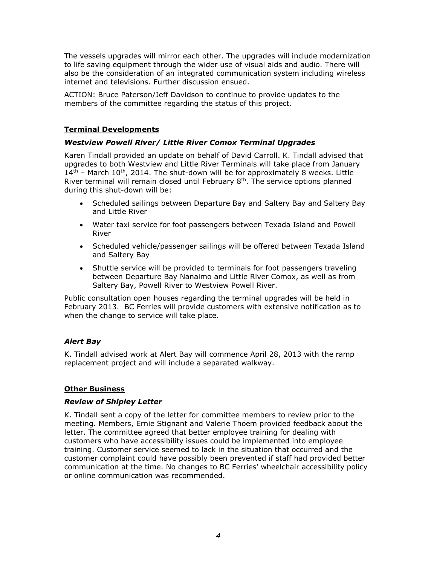The vessels upgrades will mirror each other. The upgrades will include modernization to life saving equipment through the wider use of visual aids and audio. There will also be the consideration of an integrated communication system including wireless internet and televisions. Further discussion ensued.

ACTION: Bruce Paterson/Jeff Davidson to continue to provide updates to the members of the committee regarding the status of this project.

# **Terminal Developments**

# *Westview Powell River/ Little River Comox Terminal Upgrades*

Karen Tindall provided an update on behalf of David Carroll. K. Tindall advised that upgrades to both Westview and Little River Terminals will take place from January  $14<sup>th</sup>$  – March 10<sup>th</sup>, 2014. The shut-down will be for approximately 8 weeks. Little River terminal will remain closed until February  $8<sup>th</sup>$ . The service options planned during this shut-down will be:

- Scheduled sailings between Departure Bay and Saltery Bay and Saltery Bay and Little River
- Water taxi service for foot passengers between Texada Island and Powell River
- Scheduled vehicle/passenger sailings will be offered between Texada Island and Saltery Bay
- Shuttle service will be provided to terminals for foot passengers traveling between Departure Bay Nanaimo and Little River Comox, as well as from Saltery Bay, Powell River to Westview Powell River.

Public consultation open houses regarding the terminal upgrades will be held in February 2013. BC Ferries will provide customers with extensive notification as to when the change to service will take place.

# *Alert Bay*

K. Tindall advised work at Alert Bay will commence April 28, 2013 with the ramp replacement project and will include a separated walkway.

# **Other Business**

### *Review of Shipley Letter*

K. Tindall sent a copy of the letter for committee members to review prior to the meeting. Members, Ernie Stignant and Valerie Thoem provided feedback about the letter. The committee agreed that better employee training for dealing with customers who have accessibility issues could be implemented into employee training. Customer service seemed to lack in the situation that occurred and the customer complaint could have possibly been prevented if staff had provided better communication at the time. No changes to BC Ferries' wheelchair accessibility policy or online communication was recommended.